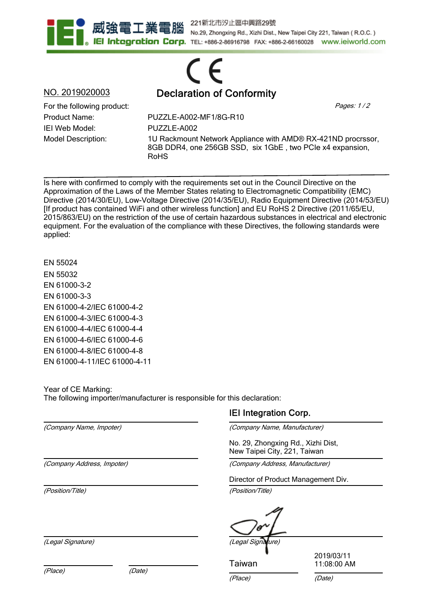

221新北市汐止區中興路29號 No.29, Zhongxing Rd., Xizhi Dist., New Taipei City 221, Taiwan (R.O.C.) **IEI Integration Corp.** TEL: +886-2-86916798 FAX: +886-2-66160028 www.ieiworld.com

## CE NO. 2019020003 Declaration of Conformity

Product Name: IEI Web Model: Model Description: For the following product:  $Page: 1/2$ 

PUZZLE-A002-MF1/8G-R10 PUZZLE-A002 1U Rackmount Network Appliance with AMD® RX-421ND procrssor, 8GB DDR4, one 256GB SSD, six 1GbE , two PCIe x4 expansion, RoHS

Is here with confirmed to comply with the requirements set out in the Council Directive on the Approximation of the Laws of the Member States relating to Electromagnetic Compatibility (EMC) Directive (2014/30/EU), Low-Voltage Directive (2014/35/EU), Radio Equipment Directive (2014/53/EU) [If product has contained WiFi and other wireless function] and EU RoHS 2 Directive (2011/65/EU, 2015/863/EU) on the restriction of the use of certain hazardous substances in electrical and electronic equipment. For the evaluation of the compliance with these Directives, the following standards were applied:

EN 55024 EN 55032 EN 61000-3-2 EN 61000-3-3 EN 61000-4-2/IEC 61000-4-2 EN 61000-4-3/IEC 61000-4-3 EN 61000-4-4/IEC 61000-4-4 EN 61000-4-6/IEC 61000-4-6 EN 61000-4-8/IEC 61000-4-8 EN 61000-4-11/IEC 61000-4-11

Year of CE Marking: The following importer/manufacturer is responsible for this declaration:

(Company Name, Impoter)

(Company Address, Impoter)

(Position/Title)

(Legal Signature) (Legal Signature)

(Place) (Date)

## IEI Integration Corp.

(Company Name, Manufacturer)

No. 29, Zhongxing Rd., Xizhi Dist, New Taipei City, 221, Taiwan

(Company Address, Manufacturer)

Director of Product Management Div.

(Position/Title)

Taiwan

2019/03/11 11:08:00 AM

(Place) (Date)